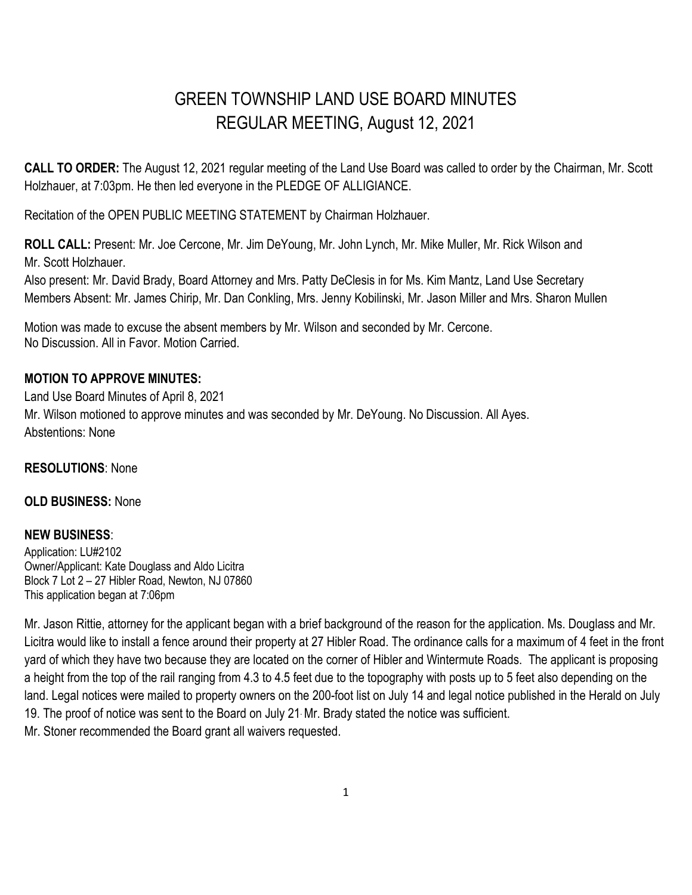# GREEN TOWNSHIP LAND USE BOARD MINUTES REGULAR MEETING, August 12, 2021

**CALL TO ORDER:** The August 12, 2021 regular meeting of the Land Use Board was called to order by the Chairman, Mr. Scott Holzhauer, at 7:03pm. He then led everyone in the PLEDGE OF ALLIGIANCE.

Recitation of the OPEN PUBLIC MEETING STATEMENT by Chairman Holzhauer.

**ROLL CALL:** Present: Mr. Joe Cercone, Mr. Jim DeYoung, Mr. John Lynch, Mr. Mike Muller, Mr. Rick Wilson and Mr. Scott Holzhauer.

Also present: Mr. David Brady, Board Attorney and Mrs. Patty DeClesis in for Ms. Kim Mantz, Land Use Secretary Members Absent: Mr. James Chirip, Mr. Dan Conkling, Mrs. Jenny Kobilinski, Mr. Jason Miller and Mrs. Sharon Mullen

Motion was made to excuse the absent members by Mr. Wilson and seconded by Mr. Cercone. No Discussion. All in Favor. Motion Carried.

## **MOTION TO APPROVE MINUTES:**

Land Use Board Minutes of April 8, 2021 Mr. Wilson motioned to approve minutes and was seconded by Mr. DeYoung. No Discussion. All Ayes. Abstentions: None

## **RESOLUTIONS**: None

### **OLD BUSINESS:** None

## **NEW BUSINESS**:

Application: LU#2102 Owner/Applicant: Kate Douglass and Aldo Licitra Block 7 Lot 2 – 27 Hibler Road, Newton, NJ 07860 This application began at 7:06pm

Mr. Jason Rittie, attorney for the applicant began with a brief background of the reason for the application. Ms. Douglass and Mr. Licitra would like to install a fence around their property at 27 Hibler Road. The ordinance calls for a maximum of 4 feet in the front yard of which they have two because they are located on the corner of Hibler and Wintermute Roads. The applicant is proposing a height from the top of the rail ranging from 4.3 to 4.5 feet due to the topography with posts up to 5 feet also depending on the land. Legal notices were mailed to property owners on the 200-foot list on July 14 and legal notice published in the Herald on July 19. The proof of notice was sent to the Board on July 21. Mr. Brady stated the notice was sufficient. Mr. Stoner recommended the Board grant all waivers requested.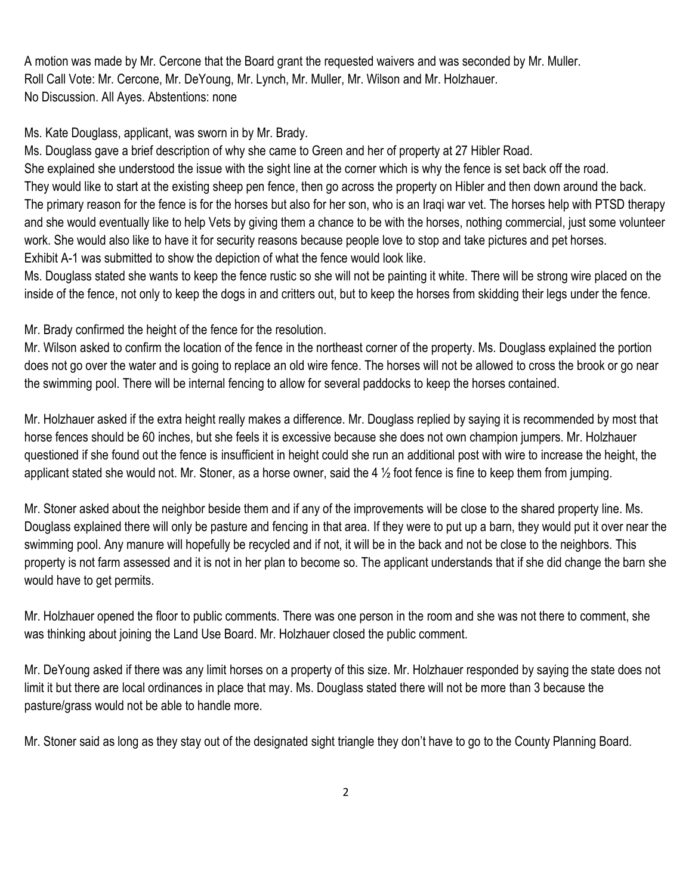A motion was made by Mr. Cercone that the Board grant the requested waivers and was seconded by Mr. Muller. Roll Call Vote: Mr. Cercone, Mr. DeYoung, Mr. Lynch, Mr. Muller, Mr. Wilson and Mr. Holzhauer. No Discussion. All Ayes. Abstentions: none

Ms. Kate Douglass, applicant, was sworn in by Mr. Brady.

Ms. Douglass gave a brief description of why she came to Green and her of property at 27 Hibler Road.

She explained she understood the issue with the sight line at the corner which is why the fence is set back off the road. They would like to start at the existing sheep pen fence, then go across the property on Hibler and then down around the back. The primary reason for the fence is for the horses but also for her son, who is an Iraqi war vet. The horses help with PTSD therapy and she would eventually like to help Vets by giving them a chance to be with the horses, nothing commercial, just some volunteer work. She would also like to have it for security reasons because people love to stop and take pictures and pet horses. Exhibit A-1 was submitted to show the depiction of what the fence would look like.

Ms. Douglass stated she wants to keep the fence rustic so she will not be painting it white. There will be strong wire placed on the inside of the fence, not only to keep the dogs in and critters out, but to keep the horses from skidding their legs under the fence.

Mr. Brady confirmed the height of the fence for the resolution.

Mr. Wilson asked to confirm the location of the fence in the northeast corner of the property. Ms. Douglass explained the portion does not go over the water and is going to replace an old wire fence. The horses will not be allowed to cross the brook or go near the swimming pool. There will be internal fencing to allow for several paddocks to keep the horses contained.

Mr. Holzhauer asked if the extra height really makes a difference. Mr. Douglass replied by saying it is recommended by most that horse fences should be 60 inches, but she feels it is excessive because she does not own champion jumpers. Mr. Holzhauer questioned if she found out the fence is insufficient in height could she run an additional post with wire to increase the height, the applicant stated she would not. Mr. Stoner, as a horse owner, said the 4  $\frac{1}{2}$  foot fence is fine to keep them from jumping.

Mr. Stoner asked about the neighbor beside them and if any of the improvements will be close to the shared property line. Ms. Douglass explained there will only be pasture and fencing in that area. If they were to put up a barn, they would put it over near the swimming pool. Any manure will hopefully be recycled and if not, it will be in the back and not be close to the neighbors. This property is not farm assessed and it is not in her plan to become so. The applicant understands that if she did change the barn she would have to get permits.

Mr. Holzhauer opened the floor to public comments. There was one person in the room and she was not there to comment, she was thinking about joining the Land Use Board. Mr. Holzhauer closed the public comment.

Mr. DeYoung asked if there was any limit horses on a property of this size. Mr. Holzhauer responded by saying the state does not limit it but there are local ordinances in place that may. Ms. Douglass stated there will not be more than 3 because the pasture/grass would not be able to handle more.

Mr. Stoner said as long as they stay out of the designated sight triangle they don't have to go to the County Planning Board.